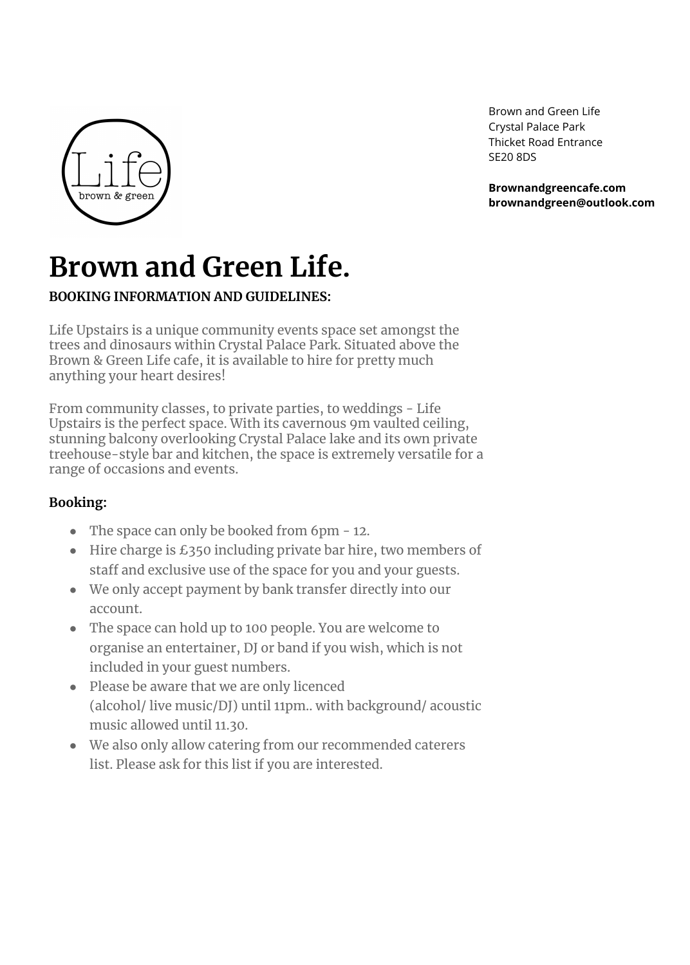# **Brown and Green Life.**

# **BOOKING INFORMATION AND GUIDELINES:**

Life Upstairs is a unique community events space set amongst the trees and dinosaurs within Crystal Palace Park. Situated above the Brown & Green Life cafe, it is available to hire for pretty much anything your heart desires!

From community classes, to private parties, to weddings - Life Upstairs is the perfect space. With its cavernous 9m vaulted ceiling, stunning balcony overlooking Crystal Palace lake and its own private treehouse-style bar and kitchen, the space is extremely versatile for a range of occasions and events.

# **Booking:**

- The space can only be booked from 6pm 12.
- Hire charge is £350 including private bar hire, two members of staff and exclusive use of the space for you and your guests.
- We only accept payment by bank transfer directly into our account.
- The space can hold up to 100 people. You are welcome to organise an entertainer, DJ or band if you wish, which is not included in your guest numbers.
- Please be aware that we are only licenced (alcohol/ live music/DJ) until 11pm.. with background/ acoustic music allowed until 11.30.
- We also only allow catering from our recommended caterers

#### list. Please ask for this list if you are interested.



Brown and Green Life Crystal Palace Park Thicket Road Entrance SE20 8DS

**Brownandgreencafe.com brownandgreen@outlook.com**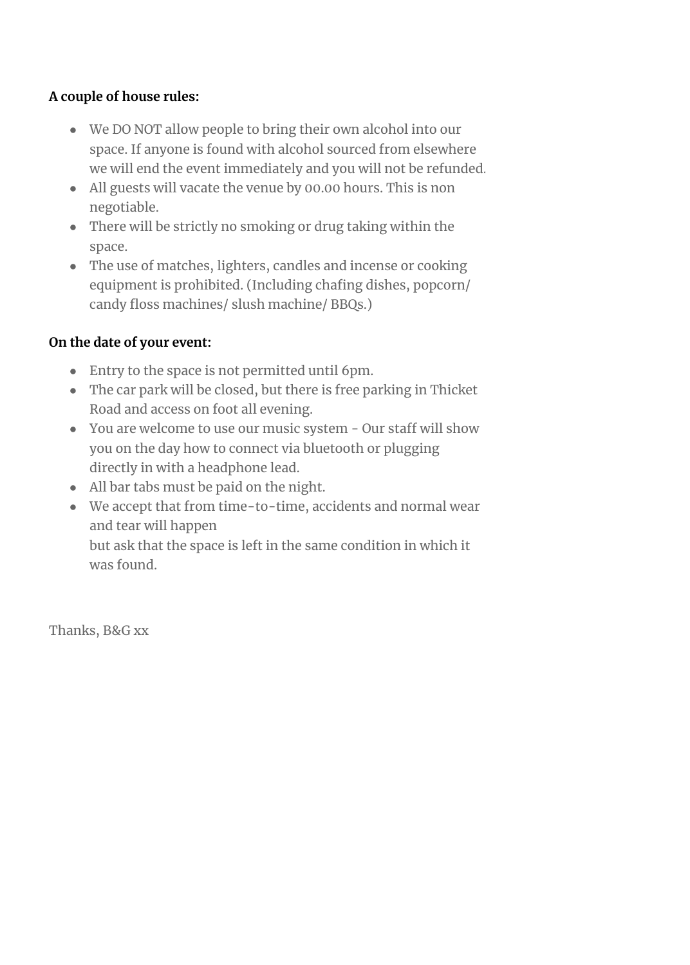### **A couple of house rules:**

- We DO NOT allow people to bring their own alcohol into our space. If anyone is found with alcohol sourced from elsewhere we will end the event immediately and you will not be refunded.
- All guests will vacate the venue by 00.00 hours. This is non negotiable.
- There will be strictly no smoking or drug taking within the space.
- The use of matches, lighters, candles and incense or cooking equipment is prohibited. (Including chafing dishes, popcorn/ candy floss machines/ slush machine/ BBQs.)

## **On the date of your event:**

- Entry to the space is not permitted until 6pm.
- The car park will be closed, but there is free parking in Thicket Road and access on foot all evening.
- You are welcome to use our music system Our staff will show you on the day how to connect via bluetooth or plugging directly in with a headphone lead.
- All bar tabs must be paid on the night.
- We accept that from time-to-time, accidents and normal wear and tear will happen but ask that the space is left in the same condition in which it was found.

Thanks, B&G xx